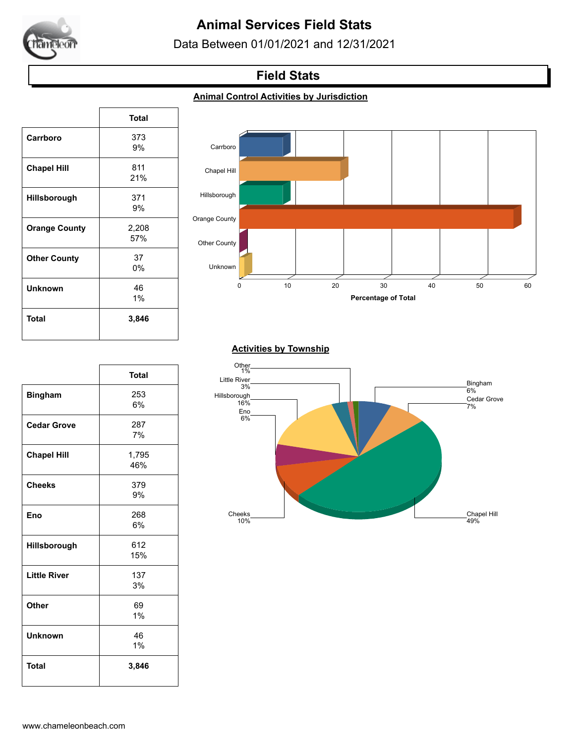

# **Animal Services Field Stats**

Data Between 01/01/2021 and 12/31/2021

## **Field Stats**

#### **Animal Control Activities by Jurisdiction**

|                      | <b>Total</b> |
|----------------------|--------------|
| Carrboro             | 373          |
|                      | 9%           |
| <b>Chapel Hill</b>   | 811          |
|                      | 21%          |
| <b>Hillsborough</b>  | 371          |
|                      | 9%           |
| <b>Orange County</b> | 2,208        |
|                      | 57%          |
| <b>Other County</b>  | 37           |
|                      | 0%           |
| <b>Unknown</b>       | 46           |
|                      | 1%           |
| Total                | 3,846        |
|                      |              |

 $\sqrt{ }$ 

٦



#### **Activities by Township**

|                     | <b>Total</b> |
|---------------------|--------------|
| <b>Bingham</b>      | 253          |
|                     | 6%           |
|                     |              |
| <b>Cedar Grove</b>  | 287          |
|                     | 7%           |
| <b>Chapel Hill</b>  | 1,795        |
|                     | 46%          |
|                     |              |
| <b>Cheeks</b>       | 379          |
|                     | 9%           |
| Eno                 | 268          |
|                     | 6%           |
|                     |              |
| Hillsborough        | 612          |
|                     | 15%          |
| <b>Little River</b> | 137          |
|                     | 3%           |
| <b>Other</b>        | 69           |
|                     | 1%           |
|                     |              |
| <b>Unknown</b>      | 46           |
|                     | 1%           |
| <b>Total</b>        | 3,846        |
|                     |              |
|                     |              |

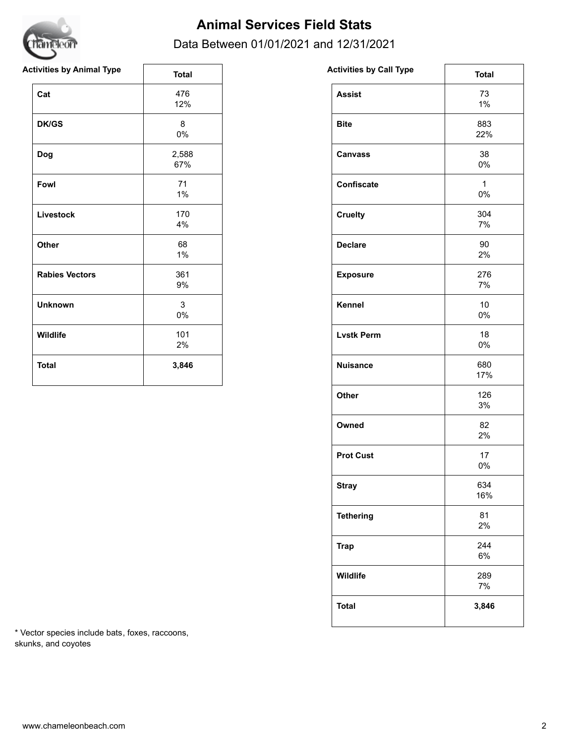

## **Animal Services Field Stats**

### Data Between 01/01/2021 and 12/31/2021

| <b>Activities by Animal Type</b> | <b>Total</b> | <b>Activities by Call Type</b> | <b>Total</b>          |
|----------------------------------|--------------|--------------------------------|-----------------------|
| Cat                              | 476<br>12%   | <b>Assist</b>                  | 73<br>$1\%$           |
| <b>DK/GS</b>                     | 8<br>$0\%$   | <b>Bite</b>                    | 883<br>22%            |
| Dog                              | 2,588<br>67% | <b>Canvass</b>                 | 38<br>0%              |
| Fowl                             | 71<br>$1\%$  | Confiscate                     | $\mathbf{1}$<br>$0\%$ |
| Livestock                        | 170<br>4%    | <b>Cruelty</b>                 | 304<br>7%             |
| <b>Other</b>                     | 68<br>$1\%$  | <b>Declare</b>                 | 90<br>2%              |
| <b>Rabies Vectors</b>            | 361<br>9%    | <b>Exposure</b>                | 276<br>7%             |
| <b>Unknown</b>                   | 3<br>0%      | Kennel                         | 10 <sup>°</sup><br>0% |
| Wildlife                         | 101<br>2%    | <b>Lvstk Perm</b>              | 18<br>0%              |
| <b>Total</b>                     | 3,846        | <b>Nuisance</b>                | 680<br>17%            |

| www.co.uk.uk      | <b>Total</b>       |
|-------------------|--------------------|
| <b>Assist</b>     | 73<br>1%           |
| <b>Bite</b>       | 883<br>22%         |
| <b>Canvass</b>    | 38<br>0%           |
| <b>Confiscate</b> | $\mathbf{1}$<br>0% |
| <b>Cruelty</b>    | 304<br>7%          |
| <b>Declare</b>    | 90<br>2%           |
| <b>Exposure</b>   | 276<br>7%          |
| Kennel            | 10<br>0%           |
| <b>Lvstk Perm</b> | 18<br>0%           |
| <b>Nuisance</b>   | 680<br>17%         |
| Other             | 126<br>3%          |
| Owned             | 82<br>2%           |
| <b>Prot Cust</b>  | 17<br>0%           |
| <b>Stray</b>      | 634<br>16%         |
| <b>Tethering</b>  | 81<br>2%           |
| <b>Trap</b>       | 244<br>6%          |
| Wildlife          | 289<br>7%          |
| <b>Total</b>      | 3,846              |
|                   |                    |

\* Vector species include bats, foxes, raccoons, skunks, and coyotes

٦